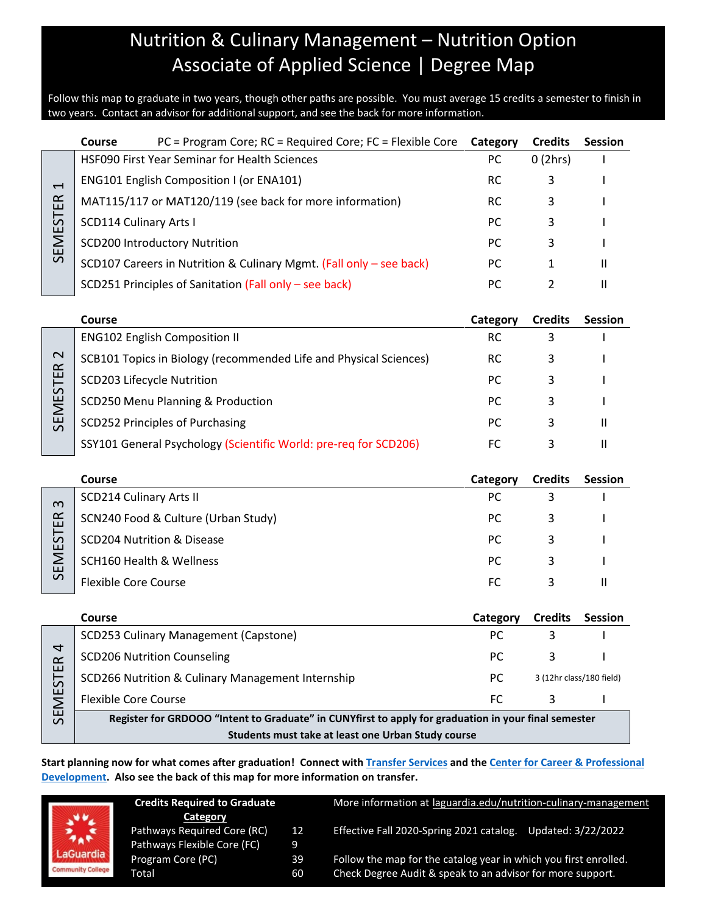## Nutrition & Culinary Management – Nutrition Option Associate of Applied Science | Degree Map

Follow this map to graduate in two years, though other paths are possible. You must average 15 credits a semester to finish in two years. Contact an advisor for additional support, and see the back for more information.

|                          | PC = Program Core; RC = Required Core; FC = Flexible Core<br>Course                                  | Category  | <b>Credits</b> | <b>Session</b>           |  |
|--------------------------|------------------------------------------------------------------------------------------------------|-----------|----------------|--------------------------|--|
|                          | HSF090 First Year Seminar for Health Sciences                                                        | PC        | 0(2hrs)        |                          |  |
| $\overline{\phantom{0}}$ | <b>ENG101 English Composition I (or ENA101)</b>                                                      | <b>RC</b> | 3              |                          |  |
|                          | MAT115/117 or MAT120/119 (see back for more information)                                             | <b>RC</b> | 3              |                          |  |
|                          | <b>SCD114 Culinary Arts I</b>                                                                        | PC        | 3              |                          |  |
| <b>SEMESTER</b>          | <b>SCD200 Introductory Nutrition</b>                                                                 | PC        | 3              |                          |  |
|                          | SCD107 Careers in Nutrition & Culinary Mgmt. (Fall only - see back)                                  | PC        | 1              | Ш                        |  |
|                          | SCD251 Principles of Sanitation (Fall only - see back)                                               | PC        | $\overline{2}$ | Ш                        |  |
|                          |                                                                                                      |           |                |                          |  |
|                          | <b>Course</b>                                                                                        | Category  | <b>Credits</b> | <b>Session</b>           |  |
|                          | <b>ENG102 English Composition II</b>                                                                 | <b>RC</b> | 3              |                          |  |
| $\mathbf{\Omega}$        | SCB101 Topics in Biology (recommended Life and Physical Sciences)                                    | RC        | 3              |                          |  |
|                          | SCD203 Lifecycle Nutrition                                                                           | PC        | 3              |                          |  |
| <b>SEMESTER</b>          | SCD250 Menu Planning & Production                                                                    | PC        | 3              |                          |  |
|                          | <b>SCD252 Principles of Purchasing</b>                                                               | PC        | 3              | Ш                        |  |
|                          | SSY101 General Psychology (Scientific World: pre-req for SCD206)                                     | FC        | 3              | Ш                        |  |
|                          | <b>Course</b>                                                                                        | Category  | <b>Credits</b> | <b>Session</b>           |  |
|                          | <b>SCD214 Culinary Arts II</b>                                                                       | PC        | 3              |                          |  |
| $\omega$                 | SCN240 Food & Culture (Urban Study)                                                                  | PC        | 3              |                          |  |
| SEMESTER                 | <b>SCD204 Nutrition &amp; Disease</b>                                                                | PC        | 3              |                          |  |
|                          | <b>SCH160 Health &amp; Wellness</b>                                                                  | <b>PC</b> | 3              |                          |  |
|                          | <b>Flexible Core Course</b>                                                                          | FC        | 3              | $\mathbf{H}$             |  |
|                          |                                                                                                      |           |                |                          |  |
|                          | <b>Course</b>                                                                                        | Category  | <b>Credits</b> | <b>Session</b>           |  |
|                          | <b>SCD253 Culinary Management (Capstone)</b>                                                         | PC        | 3              |                          |  |
|                          | <b>SCD206 Nutrition Counseling</b>                                                                   | PC        | 3              |                          |  |
| <b>SEMESTER</b>          | SCD266 Nutrition & Culinary Management Internship                                                    | PC        |                | 3 (12hr class/180 field) |  |
|                          | <b>Flexible Core Course</b>                                                                          | <b>FC</b> | 3              |                          |  |
|                          | Register for GRDOOO "Intent to Graduate" in CUNYfirst to apply for graduation in your final semester |           |                |                          |  |
|                          | Students must take at least one Urban Study course                                                   |           |                |                          |  |

**Start planning now for what comes after graduation! Connect with [Transfer Services](https://www.laguardia.edu/transferservices/) and the [Center for Career & Professional](https://www.laguardia.edu/careerservices/)  [Development.](https://www.laguardia.edu/careerservices/) Also see the back of this map for more information on transfer.**



| <b>Credits Required to Graduate</b> |    |  |  |  |
|-------------------------------------|----|--|--|--|
| Category                            |    |  |  |  |
| Pathways Required Core (RC)         | 12 |  |  |  |
| Pathways Flexible Core (FC)         | ۰q |  |  |  |
| Program Core (PC)                   | 39 |  |  |  |
| Total                               | 60 |  |  |  |

More information at [laguardia.edu/nutrition-culinary-management](https://cuny907-my.sharepoint.com/personal/joshua_goldblatt12_login_cuny_edu/Documents/Degree%20Maps%20&%20Curriculum/HS/laguardia.edu/nutrition-culinary-management) Effective Fall 2020-Spring 2021 catalog. Updated: 3/22/2022

Follow the map for the catalog year in which you first enrolled. Check Degree Audit & speak to an advisor for more support.